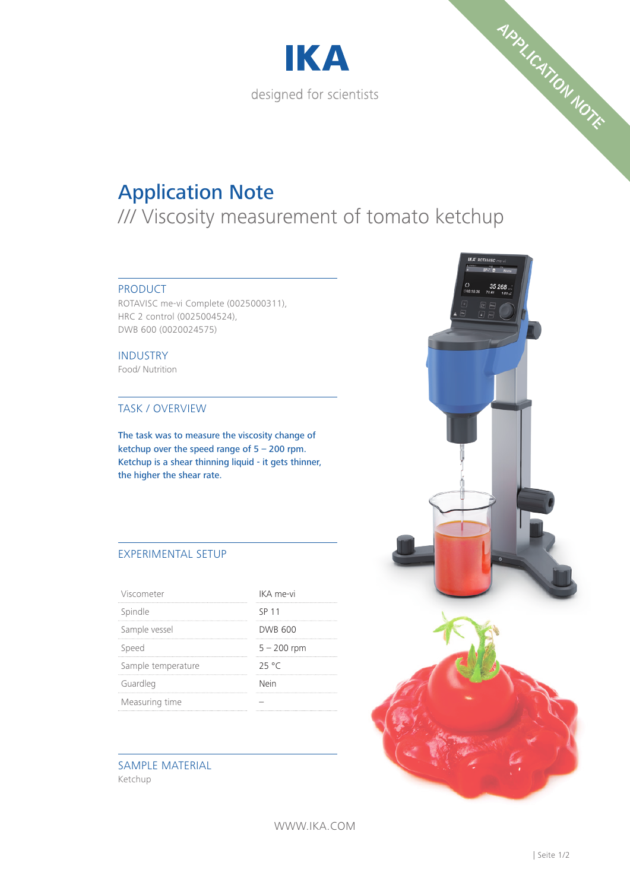



# Application Note

/// Viscosity measurement of tomato ketchup

### PRODUCT

ROTAVISC me-vi Complete (0025000311), HRC 2 control (0025004524), DWB 600 (0020024575)

INDUSTRY Food/ Nutrition

#### TASK / OVERVIEW

The task was to measure the viscosity change of ketchup over the speed range of 5 – 200 rpm. Ketchup is a shear thinning liquid - it gets thinner, the higher the shear rate.

## EXPERIMENTAL SETUP

| Viscometer         | IKA me-vi      |
|--------------------|----------------|
| Spindle            | SP 11          |
| Sample vessel      | <b>DWB 600</b> |
| Speed              | $5 - 200$ rpm  |
| Sample temperature | 25°C           |
| Guardleg           | Nein           |
| Measuring time     |                |

#### SAMPLE MATERIAL Ketchup



WWW.IKA.COM